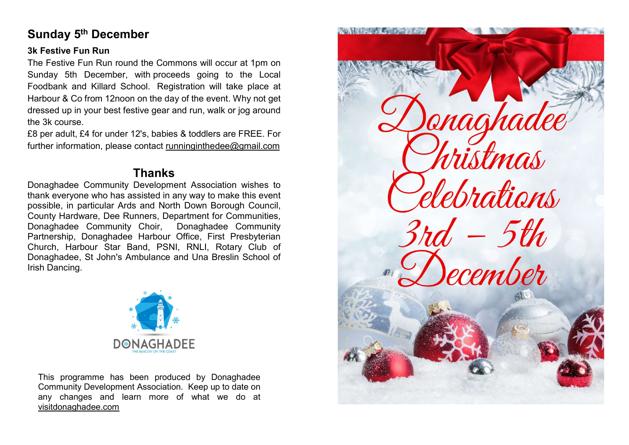# Sunday 5th December

#### 3k Festive Fun Run

The Festive Fun Run round the Commons will occur at 1pm on Sunday 5th December, with proceeds going to the Local Foodbank and Killard School. Registration will take place at Harbour & Co from 12noon on the day of the event. Why not get dressed up in your best festive gear and run, walk or jog around the 3k course.

£8 per adult, £4 for under 12's, babies & toddlers are FREE. For further information, please contact runninginthedee@gmail.com

# Thanks

Donaghadee Community Development Association wishes to thank everyone who has assisted in any way to make this event possible, in particular Ards and North Down Borough Council, County Hardware, Dee Runners, Department for Communities, Donaghadee Community Choir, Donaghadee Community Partnership, Donaghadee Harbour Office, First Presbyterian Church, Harbour Star Band, PSNI, RNLI, Rotary Club of Donaghadee, St John's Ambulance and Una Breslin School of Irish Dancing.



This programme has been produced by Donaghadee Community Development Association. Keep up to date on any changes and learn more of what we do at visitdonaghadee.com